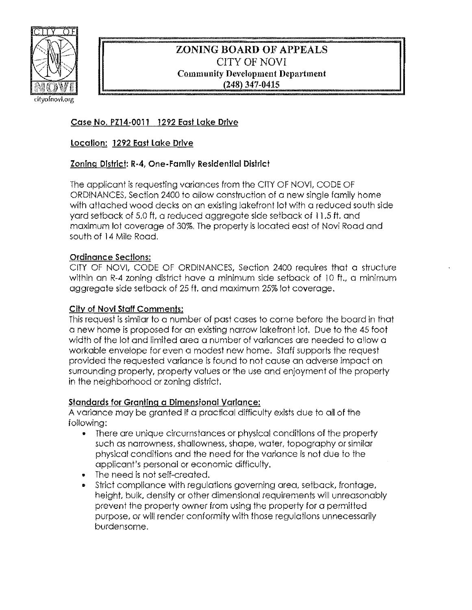

# ZONING **BOARD** OF APPEALS CITY OF NOVI Community Development Department (248) 347-0415

# Case No. PZ14·0011 1292 East Lake Drive

### location: 1292 East Lake Drive

# Zoning District: R·4, One· Family Residential District

The applicant is requesting variances from the CITY OF NOV!, CODE OF ORDINANCES, Section 2400 to allow construction of a new single lamily home with attached wood decks on an existing lakefront lot with a reduced south side yard setback of 5.0 ft, a reduced aggregate side setback of 11.5 ft. and maximum 101 coverage of 30%. The property is located east of Novi Road and south of 14 Mile Road.

### Ordinance Sections:

CITY OF NOVI, CODE OF ORDINANCES, Section 2400 requires that a structure within an R-4 zoning district have a minimum side setback of 10 ft., a minimum aggregate side setback of 25 ft. and maximum 25% lot coverage.

### City of Novl Staff Comments:

This request is similar to a number of past cases to come before the board in that a new home is proposed for an existing narrow lakefront lot. Due to the 45 foot width of the lot and limited area a number of variances are needed to allow a workable envelope for even a modest new home. Staff supports the request provided the requested variance is found to not cause an adverse impact on surrounding property, property values or the use and enjoyment of the property in the neighborhood or zoning district.

#### Standards for Granting a Dimensional Variance:

A variance may be granted if a practical difficulty exists due to all of the following:

- There are unique circumstances or physical conditions of the property such as narrowness, shallowness, shape, water. topography or similar physical conditions and the need for the variance is not due to the applicant's personal or economic difficulty.
- The need is not self-created.
- Strict compliance with regulations governing area, setback, frontage, height. bulk, density or other dimensional requirements will unreasonably prevent the property owner from using the property for a permitted purpose, or will render conformity with those regulations unnecessarily burdensome.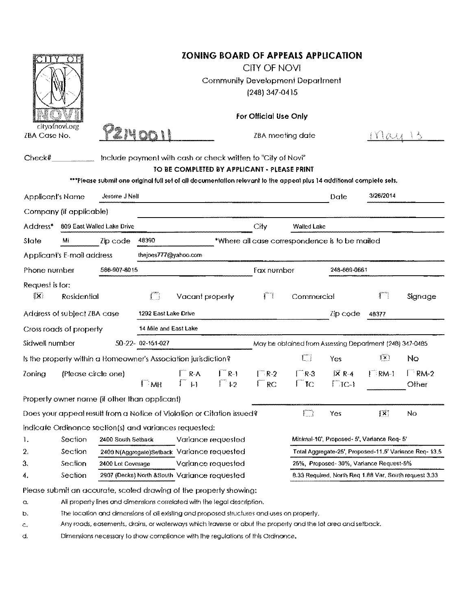| cityofnovi.org<br>ZBA Case No.                                 |                                                                                                              | <b>ZONING BOARD OF APPEALS APPLICATION</b><br>CITY OF NOVI<br><b>Community Development Department</b><br>$(248)$ 347-0415<br>For Official Use Only |                           |                            |                                         |                                                                                                             |                                                       |                                                                                                                      |                   |                      |  |
|----------------------------------------------------------------|--------------------------------------------------------------------------------------------------------------|----------------------------------------------------------------------------------------------------------------------------------------------------|---------------------------|----------------------------|-----------------------------------------|-------------------------------------------------------------------------------------------------------------|-------------------------------------------------------|----------------------------------------------------------------------------------------------------------------------|-------------------|----------------------|--|
|                                                                |                                                                                                              |                                                                                                                                                    |                           |                            |                                         | ZBA meeting date                                                                                            |                                                       |                                                                                                                      | FYIOU             |                      |  |
| Check#                                                         |                                                                                                              |                                                                                                                                                    |                           |                            |                                         | Include payment with cash or check written to "City of Novi"<br>TO BE COMPLETED BY APPLICANT - PLEASE PRINT |                                                       | ***Please submit one original full set of all documentation relevant to the appeal plus 14 additional complete sets. |                   |                      |  |
| <b>Applicant's Name</b>                                        |                                                                                                              |                                                                                                                                                    | Jerome J Nell             |                            |                                         |                                                                                                             |                                                       | Dale                                                                                                                 | 3/26/2014         |                      |  |
|                                                                | Company (if applicable)                                                                                      |                                                                                                                                                    |                           |                            |                                         |                                                                                                             |                                                       |                                                                                                                      |                   |                      |  |
| Address*<br>809 East Walled Lake Drive                         |                                                                                                              |                                                                                                                                                    |                           |                            |                                         | City                                                                                                        | Walled Lake                                           |                                                                                                                      |                   |                      |  |
| State                                                          | MI                                                                                                           | Zip code                                                                                                                                           | 48390                     |                            |                                         |                                                                                                             |                                                       | *Where all case correspondence is to be mailed                                                                       |                   |                      |  |
|                                                                | Applicant's E-mail address                                                                                   |                                                                                                                                                    | thejoes777@yahoo.com      |                            |                                         |                                                                                                             |                                                       |                                                                                                                      |                   |                      |  |
| Phone number                                                   |                                                                                                              | 586-907-8015                                                                                                                                       |                           |                            | Fax number                              |                                                                                                             | 248-669-0661                                          |                                                                                                                      |                   |                      |  |
| Request is for:<br>$\{X\}$                                     | <b>Residential</b>                                                                                           |                                                                                                                                                    | $\int_{-\infty}^{\infty}$ | Vacant property            |                                         | $\Box$                                                                                                      | Commercial                                            |                                                                                                                      | 打门                | Signage              |  |
|                                                                | Address of subject ZBA case                                                                                  |                                                                                                                                                    | 1292 East Lake Drive      |                            |                                         |                                                                                                             |                                                       | Zip code                                                                                                             | 46377             |                      |  |
|                                                                | Cross roads of property                                                                                      |                                                                                                                                                    | 14 Mile and East Lake     |                            |                                         |                                                                                                             |                                                       |                                                                                                                      |                   |                      |  |
| Sidwell number                                                 |                                                                                                              |                                                                                                                                                    | $50-22 - 02-151-027$      |                            |                                         |                                                                                                             |                                                       | May be obtained from Assessing Department (248) 347-0485                                                             |                   |                      |  |
| Is the property within a Homeowner's Association jurisdiction? |                                                                                                              |                                                                                                                                                    |                           |                            |                                         |                                                                                                             |                                                       |                                                                                                                      | $\sqrt{1} \times$ | No.                  |  |
|                                                                |                                                                                                              |                                                                                                                                                    |                           |                            |                                         |                                                                                                             |                                                       | Yes                                                                                                                  |                   |                      |  |
| Zoning                                                         | (Please circle one)                                                                                          |                                                                                                                                                    | l imh                     | $\mathsf{F}$ R-A<br>$\Box$ | $\Gamma$ R-1<br>$\int_{0}^{\infty}$ 1-2 | $\Gamma$ R-2<br>$\Box$ RC                                                                                   | $\Gamma$ R-3<br>$\Box$ TC                             | $\overline{X}$ R-4<br>$\Gamma$ TC-1                                                                                  | $\Box$ RM-1       | $\Box$ RM-2<br>Other |  |
|                                                                | Property owner name (if other than applicant)                                                                |                                                                                                                                                    |                           |                            |                                         |                                                                                                             |                                                       |                                                                                                                      |                   |                      |  |
|                                                                |                                                                                                              |                                                                                                                                                    |                           |                            |                                         |                                                                                                             | $\int_{-\infty}^{\infty}$                             |                                                                                                                      | $ \mathbf{x} $    |                      |  |
|                                                                | Does your appeal result from a Notice of Violation or Citation issued?                                       |                                                                                                                                                    |                           |                            |                                         |                                                                                                             |                                                       | Yes                                                                                                                  |                   | No                   |  |
| 1.                                                             | Section                                                                                                      | Indicate Ordinance section(s) and variances requested:<br>2400 South Setback                                                                       |                           |                            |                                         |                                                                                                             |                                                       |                                                                                                                      |                   |                      |  |
| 2.                                                             | Section                                                                                                      | Variance requested<br>2400 N(Aggregate)Setback Variance requested                                                                                  |                           |                            |                                         | Minimal-10', Proposed- 5', Variance Req- 5'<br>Total Aggregate-25', Proposed-11.5' Variance Reg-13.5        |                                                       |                                                                                                                      |                   |                      |  |
| З.                                                             | Section                                                                                                      | Variance requested<br>2400 Lot Coverage                                                                                                            |                           |                            |                                         | 25%, Proposed-30%, Variance Request-5%                                                                      |                                                       |                                                                                                                      |                   |                      |  |
| 4.                                                             | Section                                                                                                      | 2907 (Decks) North & South Variance requested                                                                                                      |                           |                            |                                         |                                                                                                             | 8.33 Required, North Reg 1.88 Var, South request 3.33 |                                                                                                                      |                   |                      |  |
|                                                                |                                                                                                              |                                                                                                                                                    |                           |                            |                                         |                                                                                                             |                                                       |                                                                                                                      |                   |                      |  |
| a.                                                             |                                                                                                              | Please submit an accurate, scaled drawing of the property showing:<br>All property lines and dimensions correlated with the legal description,     |                           |                            |                                         |                                                                                                             |                                                       |                                                                                                                      |                   |                      |  |
| b,                                                             |                                                                                                              | The location and dimensions of all existing and proposed structures and uses on property.                                                          |                           |                            |                                         |                                                                                                             |                                                       |                                                                                                                      |                   |                      |  |
| с.                                                             | Any roads, easements, drains, or waterways which traverse or abut the property and the lot area and setback. |                                                                                                                                                    |                           |                            |                                         |                                                                                                             |                                                       |                                                                                                                      |                   |                      |  |
|                                                                |                                                                                                              |                                                                                                                                                    |                           |                            |                                         |                                                                                                             |                                                       |                                                                                                                      |                   |                      |  |

 $\mathbf{d}_\mathrm{c}$ Dimensions necessary to show compliance with the regulations of this Ordinance.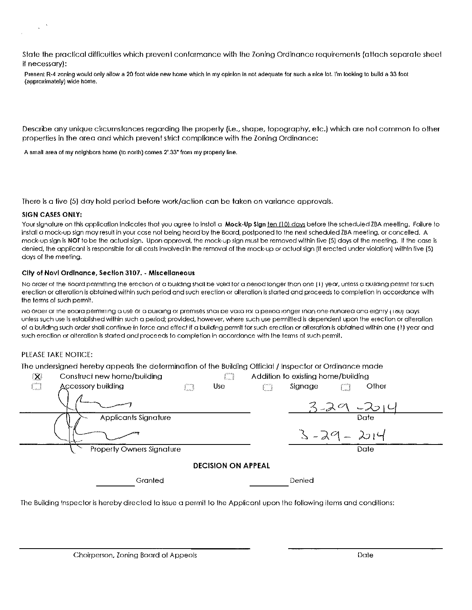state the practical difficullies which prevent conformance with the Zoning Ordinance requirements (attach separate sheet if necessary):

Present R-4 zoning would only allow a 20 foot wide new home which in my opinion is not adequate for such a nice lot. I'm looking to build a 33 foot (approximately) wide home.

Describe any unique circumstances regarding the property (i.e., shape, topography, etc.) which are not common to other properties in the area and which prevent strict compliance with the Zoning Ordinance:

A small area of my neighbors home (to north) comes 2'.33" from my property tine.

There is a five (5) day hold period before work/aclion can be taken on variance approvals.

#### SIGN CASES ONLY:

Your signature on this application indicates that you agree to instoll a Mock-Up Sign ten (10) days before the scheduled ZBA meeting. Failure to install a mock-up sign may result in your case not being heord by the Board, postponed 10 the next scheduled ZBA meeling, or concelled. A mock-up sign is **NOT** to be the actual sign. Upon approval, the mock-up sign must be removed within five (5) days of the meeting, If the case is denied, the applicant is responsible for all costs involved in the removal of the mock-up or actual sign (if erected under violation) within five (5) days of the meeting.

#### City 01 Novl Ordinance, Section 3107. - Miscellaneous

No order of the Board permitting the erection of a building shall be volid for a period longer than one (1) year, unless a building permit for such erection or alteration is obtained within such period and such erection or alteration is started and proceeds to completion in accordance with the terms of such permit.

1'10 oraer or me tloara permiTTing a use or a DUlialng or premises snail De valla ror a penoa longer man one-nunorea ana elgmy II /jUJ aays unless such use is established within such a period; provided, however, where such use permitted is dependent upon the erection or alteration of a building such order shall continue in force and effect if a building permIt for such erection or alteration is obtained within one (1) year and such erection or alteration is started and proceeds to completion in accordance with the terms of such permit.

#### PLEASE TAKE NOTICE:

The undersigned hereby appeals the determination of the Building Official / Inspector or Ordinance made

| $\mathbf{X}$<br>Construct new home/building | L., J               | Addition to existing home/building |  |  |  |  |  |  |  |
|---------------------------------------------|---------------------|------------------------------------|--|--|--|--|--|--|--|
| Ú<br><b>Accessory building</b>              | <b>Use</b><br>Storm | Other<br>Signage                   |  |  |  |  |  |  |  |
|                                             |                     | $3 - 20$<br>$-201$                 |  |  |  |  |  |  |  |
| Applicants Signature                        |                     | Date                               |  |  |  |  |  |  |  |
|                                             |                     | $3 - 29 - 2014$                    |  |  |  |  |  |  |  |
| <b>Property Owners Signature</b>            |                     | Date                               |  |  |  |  |  |  |  |
| <b>DECISION ON APPEAL</b>                   |                     |                                    |  |  |  |  |  |  |  |
| Granted                                     | Denied              |                                    |  |  |  |  |  |  |  |
|                                             |                     |                                    |  |  |  |  |  |  |  |

The Building Inspector is hereby direcled 10 issue a permil 10 Ihe Appliconl upon the following items and condilions: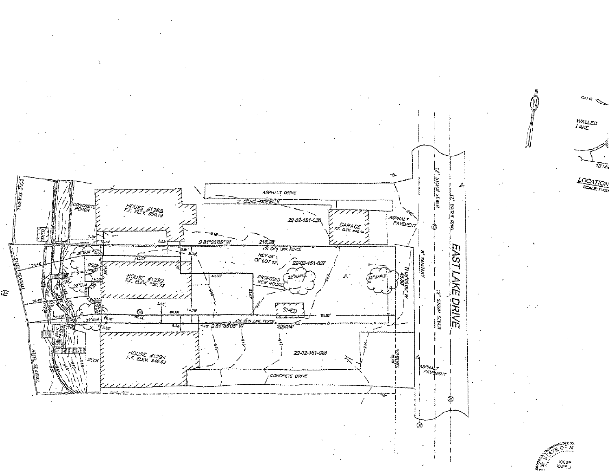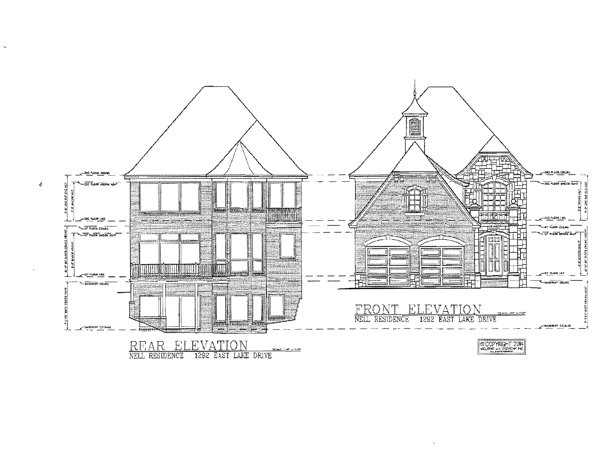

 $\mathbf{z}_\mathrm{a}$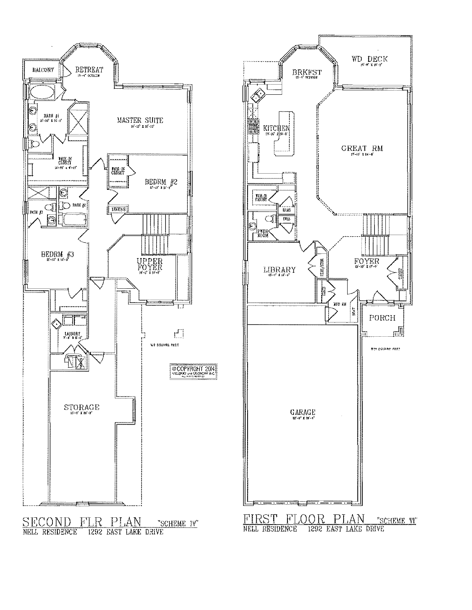

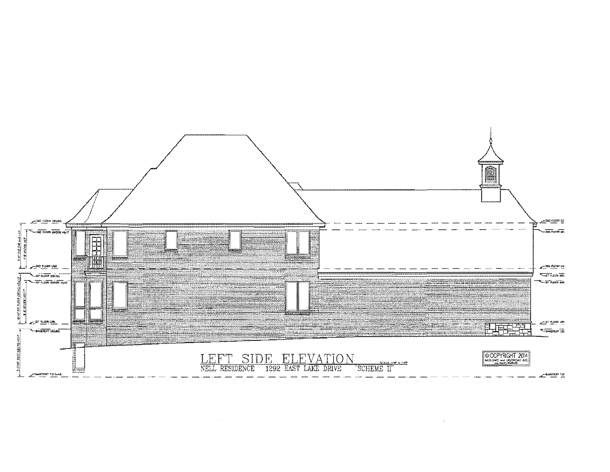

 $\sim$  k  $^{-}$ 

 $\sim 10^7$